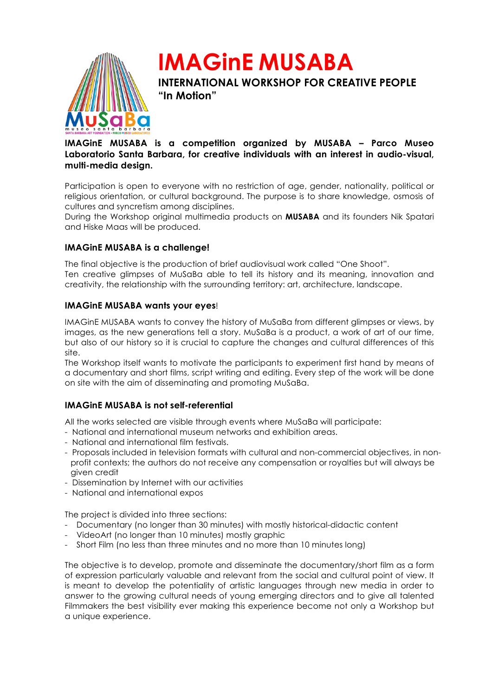

**IMAGinE MUSABA INTERNATIONAL WORKSHOP FOR CREATIVE PEOPLE "In Motion"**

# **IMAGinE MUSABA is a competition organized by MUSABA – Parco Museo Laboratorio Santa Barbara, for creative individuals with an interest in audio-visual, multi-media design.**

Participation is open to everyone with no restriction of age, gender, nationality, political or religious orientation, or cultural background. The purpose is to share knowledge, osmosis of cultures and syncretism among disciplines.

During the Workshop original multimedia products on **MUSABA** and its founders Nik Spatari and Hiske Maas will be produced.

## **IMAGinE MUSABA is a challenge!**

The final objective is the production of brief audiovisual work called "One Shoot". Ten creative glimpses of MuSaBa able to tell its history and its meaning, innovation and creativity, the relationship with the surrounding territory: art, architecture, landscape.

## **IMAGinE MUSABA wants your eyes**!

IMAGinE MUSABA wants to convey the history of MuSaBa from different glimpses or views, by images, as the new generations tell a story. MuSaBa is a product, a work of art of our time, but also of our history so it is crucial to capture the changes and cultural differences of this site.

The Workshop itself wants to motivate the participants to experiment first hand by means of a documentary and short films, script writing and editing. Every step of the work will be done on site with the aim of disseminating and promoting MuSaBa.

## **IMAGinE MUSABA is not self-referential**

All the works selected are visible through events where MuSaBa will participate:

- National and international museum networks and exhibition areas.
- National and international film festivals.
- Proposals included in television formats with cultural and non-commercial objectives, in nonprofit contexts; the authors do not receive any compensation or royalties but will always be given credit
- Dissemination by Internet with our activities
- National and international expos

The project is divided into three sections:

- Documentary (no longer than 30 minutes) with mostly historical-didactic content
- VideoArt (no longer than 10 minutes) mostly graphic
- Short Film (no less than three minutes and no more than 10 minutes long)

The objective is to develop, promote and disseminate the documentary/short film as a form of expression particularly valuable and relevant from the social and cultural point of view. It is meant to develop the potentiality of artistic languages through new media in order to answer to the growing cultural needs of young emerging directors and to give all talented Filmmakers the best visibility ever making this experience become not only a Workshop but a unique experience.